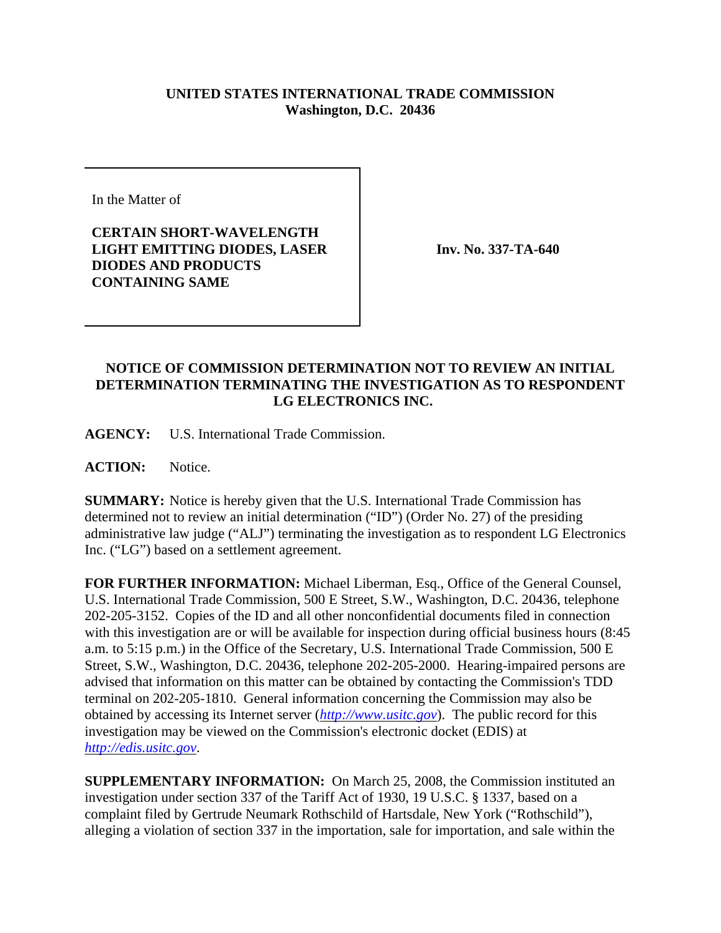## **UNITED STATES INTERNATIONAL TRADE COMMISSION Washington, D.C. 20436**

In the Matter of

**CERTAIN SHORT-WAVELENGTH LIGHT EMITTING DIODES, LASER DIODES AND PRODUCTS CONTAINING SAME**

**Inv. No. 337-TA-640**

## **NOTICE OF COMMISSION DETERMINATION NOT TO REVIEW AN INITIAL DETERMINATION TERMINATING THE INVESTIGATION AS TO RESPONDENT LG ELECTRONICS INC.**

**AGENCY:** U.S. International Trade Commission.

**ACTION:** Notice.

**SUMMARY:** Notice is hereby given that the U.S. International Trade Commission has determined not to review an initial determination ("ID") (Order No. 27) of the presiding administrative law judge ("ALJ") terminating the investigation as to respondent LG Electronics Inc. ("LG") based on a settlement agreement.

**FOR FURTHER INFORMATION:** Michael Liberman, Esq., Office of the General Counsel, U.S. International Trade Commission, 500 E Street, S.W., Washington, D.C. 20436, telephone 202-205-3152. Copies of the ID and all other nonconfidential documents filed in connection with this investigation are or will be available for inspection during official business hours (8:45 a.m. to 5:15 p.m.) in the Office of the Secretary, U.S. International Trade Commission, 500 E Street, S.W., Washington, D.C. 20436, telephone 202-205-2000. Hearing-impaired persons are advised that information on this matter can be obtained by contacting the Commission's TDD terminal on 202-205-1810. General information concerning the Commission may also be obtained by accessing its Internet server (*http://www.usitc.gov*). The public record for this investigation may be viewed on the Commission's electronic docket (EDIS) at *http://edis.usitc.gov*.

**SUPPLEMENTARY INFORMATION:** On March 25, 2008, the Commission instituted an investigation under section 337 of the Tariff Act of 1930, 19 U.S.C. § 1337, based on a complaint filed by Gertrude Neumark Rothschild of Hartsdale, New York ("Rothschild"), alleging a violation of section 337 in the importation, sale for importation, and sale within the